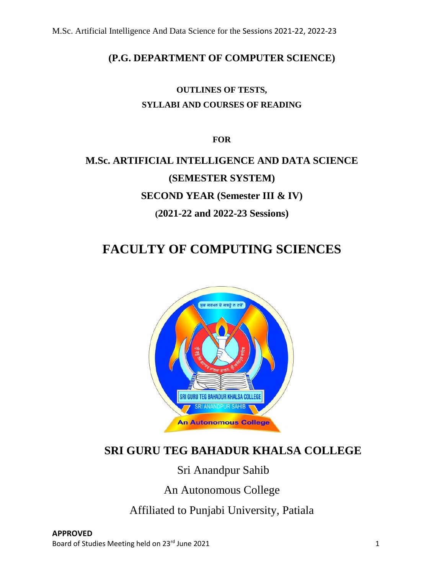### **(P.G. DEPARTMENT OF COMPUTER SCIENCE)**

## **OUTLINES OF TESTS, SYLLABI AND COURSES OF READING**

**FOR**

# **M.Sc. ARTIFICIAL INTELLIGENCE AND DATA SCIENCE (SEMESTER SYSTEM) SECOND YEAR (Semester III & IV) (2021-22 and 2022-23 Sessions)**

## **FACULTY OF COMPUTING SCIENCES**



## **SRI GURU TEG BAHADUR KHALSA COLLEGE**

Sri Anandpur Sahib

An Autonomous College

Affiliated to Punjabi University, Patiala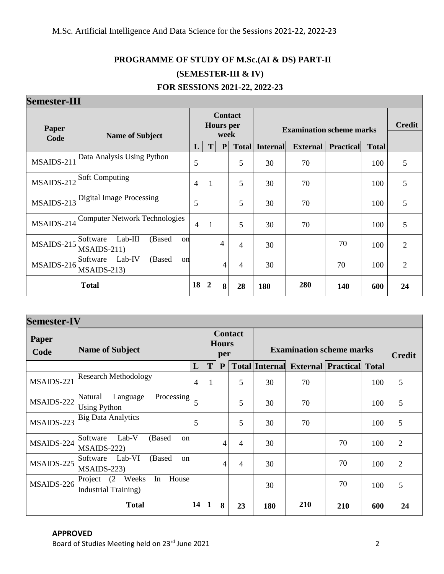## **PROGRAMME OF STUDY OF M.Sc.(AI & DS) PART-II (SEMESTER-III & IV) FOR SESSIONS 2021-22, 2022-23**

### **Semester-III**

| <b>DEHIESIEI "111</b> |                                                      |                |                                            |              |                |                                 |                 |                  |               |                |
|-----------------------|------------------------------------------------------|----------------|--------------------------------------------|--------------|----------------|---------------------------------|-----------------|------------------|---------------|----------------|
| Paper<br>Code         | <b>Name of Subject</b>                               |                | <b>Contact</b><br><b>Hours</b> per<br>week |              |                | <b>Examination scheme marks</b> |                 |                  | <b>Credit</b> |                |
|                       |                                                      | L              | T                                          | $\mathbf{P}$ | <b>Total</b>   | <b>Internal</b>                 | <b>External</b> | <b>Practical</b> | <b>Total</b>  |                |
| MSAIDS-211            | Data Analysis Using Python                           | 5              |                                            |              | 5              | 30                              | 70              |                  | 100           | 5              |
| MSAIDS-212            | <b>Soft Computing</b>                                | 4              |                                            |              | 5              | 30                              | 70              |                  | 100           | 5              |
| $MSAIDS-213$          | Digital Image Processing                             | 5              |                                            |              | 5              | 30                              | 70              |                  | 100           | 5              |
| MSAIDS-214            | <b>Computer Network Technologies</b>                 | $\overline{4}$ | $\mathbf{1}$                               |              | 5              | 30                              | 70              |                  | 100           | 5              |
| MSAIDS-215            | Lab-III<br>(Based<br>Software<br>on<br>$MSAIDS-211)$ |                |                                            | 4            | $\overline{4}$ | 30                              |                 | 70               | 100           | $\overline{2}$ |
| MSAIDS-216            | Lab-IV<br>(Based<br>Software<br>on<br>$MSAIDS-213$   |                |                                            | 4            | 4              | 30                              |                 | 70               | 100           | $\overline{2}$ |
|                       | <b>Total</b>                                         | 18             | $\overline{2}$                             | 8            | 28             | 180                             | 280             | 140              | 600           | 24             |

| <b>Semester-IV</b> |                                                                       |                                       |              |                                 |    |                       |                                 |     |     |                |
|--------------------|-----------------------------------------------------------------------|---------------------------------------|--------------|---------------------------------|----|-----------------------|---------------------------------|-----|-----|----------------|
| Paper<br>Code      | <b>Name of Subject</b>                                                | <b>Contact</b><br><b>Hours</b><br>per |              | <b>Examination scheme marks</b> |    |                       | <b>Credit</b>                   |     |     |                |
|                    |                                                                       | L                                     | T            | ${\bf P}$                       |    | <b>Total Internal</b> | <b>External Practical Total</b> |     |     |                |
| MSAIDS-221         | <b>Research Methodology</b>                                           | $\overline{4}$                        | 1            |                                 | 5  | 30                    | 70                              |     | 100 | 5              |
| MSAIDS-222         | Language<br>Natural<br>Processing<br><b>Using Python</b>              | 5                                     |              |                                 | 5  | 30                    | 70                              |     | 100 | 5              |
| MSAIDS-223         | <b>Big Data Analytics</b>                                             | 5                                     |              |                                 | 5  | 30                    | 70                              |     | 100 | 5              |
| MSAIDS-224         | Lab-V<br>Software<br>(Based<br>on<br>$MSAIDS-222$                     |                                       |              | $\overline{4}$                  | 4  | 30                    |                                 | 70  | 100 | $\overline{2}$ |
| MSAIDS-225         | Lab-VI<br>(Based<br>Software<br>on<br>$MSAIDS-223$                    |                                       |              | 4                               | 4  | 30                    |                                 | 70  | 100 | $\overline{2}$ |
| MSAIDS-226         | House<br>(2)<br>Weeks<br>In<br>Project<br><b>Industrial Training)</b> |                                       |              |                                 |    | 30                    |                                 | 70  | 100 | 5              |
|                    | <b>Total</b>                                                          | 14                                    | $\mathbf{1}$ | 8                               | 23 | 180                   | 210                             | 210 | 600 | 24             |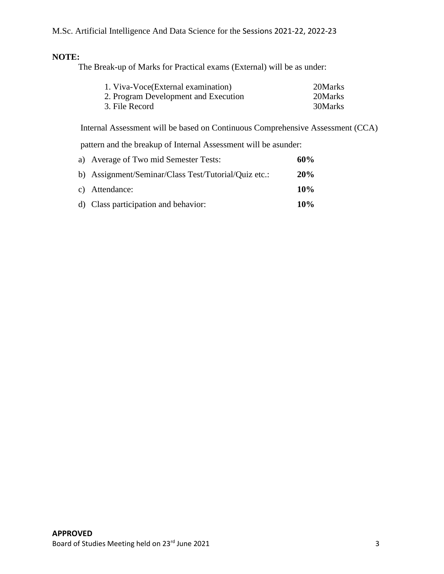#### **NOTE:**

The Break-up of Marks for Practical exams (External) will be as under:

| 1. Viva-Voce(External examination)   | 20Marks |
|--------------------------------------|---------|
| 2. Program Development and Execution | 20Marks |
| 3. File Record                       | 30Marks |

Internal Assessment will be based on Continuous Comprehensive Assessment (CCA)

pattern and the breakup of Internal Assessment will be asunder:

| a) Average of Two mid Semester Tests:                | 60%    |
|------------------------------------------------------|--------|
| b) Assignment/Seminar/Class Test/Tutorial/Quiz etc.: | 20%    |
| c) Attendance:                                       | 10%    |
| d) Class participation and behavior:                 | $10\%$ |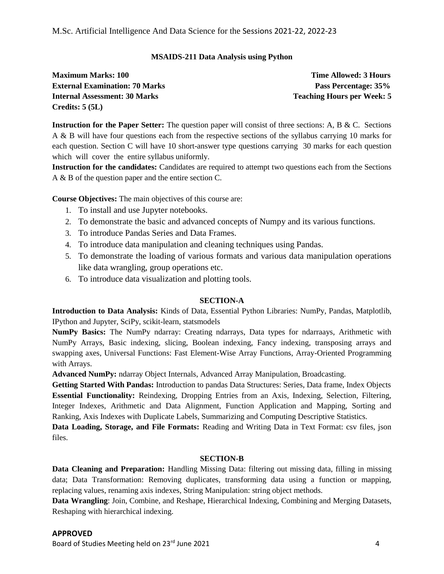#### **MSAIDS-211 Data Analysis using Python**

| <b>Maximum Marks: 100</b>             | <b>Time Allowed: 3 Hours</b>      |
|---------------------------------------|-----------------------------------|
| <b>External Examination: 70 Marks</b> | Pass Percentage: 35%              |
| <b>Internal Assessment: 30 Marks</b>  | <b>Teaching Hours per Week: 5</b> |
| Credits: $5(5L)$                      |                                   |

**Instruction for the Paper Setter:** The question paper will consist of three sections: A, B & C. Sections A & B will have four questions each from the respective sections of the syllabus carrying 10 marks for each question. Section C will have 10 short-answer type questions carrying 30 marks for each question which will cover the entire syllabus uniformly.

**Instruction for the candidates:** Candidates are required to attempt two questions each from the Sections A & B of the question paper and the entire section C.

**Course Objectives:** The main objectives of this course are:

- 1. To install and use Jupyter notebooks.
- 2. To demonstrate the basic and advanced concepts of Numpy and its various functions.
- 3. To introduce Pandas Series and Data Frames.
- 4. To introduce data manipulation and cleaning techniques using Pandas.
- 5. To demonstrate the loading of various formats and various data manipulation operations like data wrangling, group operations etc.
- 6. To introduce data visualization and plotting tools.

#### **SECTION-A**

**Introduction to Data Analysis:** Kinds of Data, Essential Python Libraries: NumPy, Pandas, Matplotlib, IPython and Jupyter, SciPy, scikit-learn, statsmodels

**NumPy Basics:** The NumPy ndarray: Creating ndarrays, Data types for ndarraays, Arithmetic with NumPy Arrays, Basic indexing, slicing, Boolean indexing, Fancy indexing, transposing arrays and swapping axes, Universal Functions: Fast Element-Wise Array Functions, Array-Oriented Programming with Arrays.

**Advanced NumPy:** ndarray Object Internals, Advanced Array Manipulation, Broadcasting.

**Getting Started With Pandas:** Introduction to pandas Data Structures: Series, Data frame, Index Objects **Essential Functionality:** Reindexing, Dropping Entries from an Axis, Indexing, Selection, Filtering, Integer Indexes, Arithmetic and Data Alignment, Function Application and Mapping, Sorting and Ranking, Axis Indexes with Duplicate Labels, Summarizing and Computing Descriptive Statistics.

**Data Loading, Storage, and File Formats:** Reading and Writing Data in Text Format: csv files, json files.

#### **SECTION-B**

**Data Cleaning and Preparation:** Handling Missing Data: filtering out missing data, filling in missing data; Data Transformation: Removing duplicates, transforming data using a function or mapping, replacing values, renaming axis indexes, String Manipulation: string object methods.

**Data Wrangling**: Join, Combine, and Reshape, Hierarchical Indexing, Combining and Merging Datasets, Reshaping with hierarchical indexing.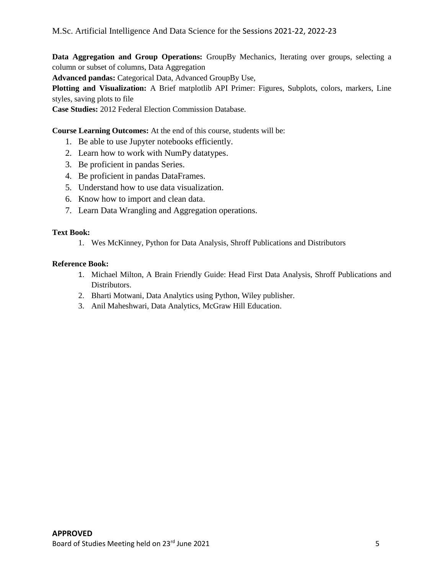**Data Aggregation and Group Operations:** GroupBy Mechanics, Iterating over groups, selecting a column or subset of columns, Data Aggregation **Advanced pandas:** Categorical Data, Advanced GroupBy Use, **Plotting and Visualization:** A Brief matplotlib API Primer: Figures, Subplots, colors, markers, Line styles, saving plots to file **Case Studies:** 2012 Federal Election Commission Database.

**Course Learning Outcomes:** At the end of this course, students will be:

- 1. Be able to use Jupyter notebooks efficiently.
- 2. Learn how to work with NumPy datatypes.
- 3. Be proficient in pandas Series.
- 4. Be proficient in pandas DataFrames.
- 5. Understand how to use data visualization.
- 6. Know how to import and clean data.
- 7. Learn Data Wrangling and Aggregation operations.

#### **Text Book:**

1. Wes McKinney, Python for Data Analysis, Shroff Publications and Distributors

#### **Reference Book:**

- 1. Michael Milton, A Brain Friendly Guide: Head First Data Analysis, Shroff Publications and Distributors.
- 2. Bharti Motwani, Data Analytics using Python, Wiley publisher.
- 3. Anil Maheshwari, Data Analytics, McGraw Hill Education.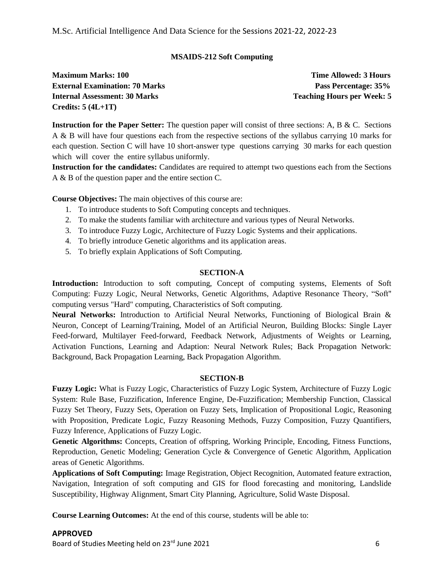#### **MSAIDS-212 Soft Computing**

**Maximum Marks: 100 Time Allowed: 3 Hours External Examination: 70 Marks Pass Percentage: 35% Internal Assessment: 30 Marks Teaching Hourse Property Reserve Teaching Hours per Week: 5 Credits: 5 (4L+1T)**

**Instruction for the Paper Setter:** The question paper will consist of three sections: A, B & C. Sections A & B will have four questions each from the respective sections of the syllabus carrying 10 marks for each question. Section C will have 10 short-answer type questions carrying 30 marks for each question which will cover the entire syllabus uniformly.

**Instruction for the candidates:** Candidates are required to attempt two questions each from the Sections A & B of the question paper and the entire section C.

**Course Objectives:** The main objectives of this course are:

- 1. To introduce students to Soft Computing concepts and techniques.
- 2. To make the students familiar with architecture and various types of Neural Networks.
- 3. To introduce Fuzzy Logic, Architecture of Fuzzy Logic Systems and their applications.
- 4. To briefly introduce Genetic algorithms and its application areas.
- 5. To briefly explain Applications of Soft Computing.

#### **SECTION-A**

**Introduction:** Introduction to soft computing, Concept of computing systems, Elements of Soft Computing: Fuzzy Logic, Neural Networks, Genetic Algorithms, Adaptive Resonance Theory, "Soft" computing versus "Hard" computing, Characteristics of Soft computing.

**Neural Networks:** Introduction to Artificial Neural Networks, Functioning of Biological Brain & Neuron, Concept of Learning/Training, Model of an Artificial Neuron, Building Blocks: Single Layer Feed-forward, Multilayer Feed-forward, Feedback Network, Adjustments of Weights or Learning, Activation Functions, Learning and Adaption: Neural Network Rules; Back Propagation Network: Background, Back Propagation Learning, Back Propagation Algorithm.

#### **SECTION-B**

**Fuzzy Logic:** What is Fuzzy Logic, Characteristics of Fuzzy Logic System, Architecture of Fuzzy Logic System: Rule Base, Fuzzification, Inference Engine, De-Fuzzification; Membership Function, Classical Fuzzy Set Theory, Fuzzy Sets, Operation on Fuzzy Sets, Implication of Propositional Logic, Reasoning with Proposition, Predicate Logic, Fuzzy Reasoning Methods, Fuzzy Composition, Fuzzy Quantifiers, Fuzzy Inference, Applications of Fuzzy Logic.

**Genetic Algorithms:** Concepts, Creation of offspring, Working Principle, Encoding, Fitness Functions, Reproduction, Genetic Modeling; Generation Cycle & Convergence of Genetic Algorithm, Application areas of Genetic Algorithms.

**Applications of Soft Computing:** Image Registration, Object Recognition, Automated feature extraction, Navigation, Integration of soft computing and GIS for flood forecasting and monitoring, Landslide Susceptibility, Highway Alignment, Smart City Planning, Agriculture, Solid Waste Disposal.

**Course Learning Outcomes:** At the end of this course, students will be able to:

#### **APPROVED**

Board of Studies Meeting held on 23<sup>rd</sup> June 2021 6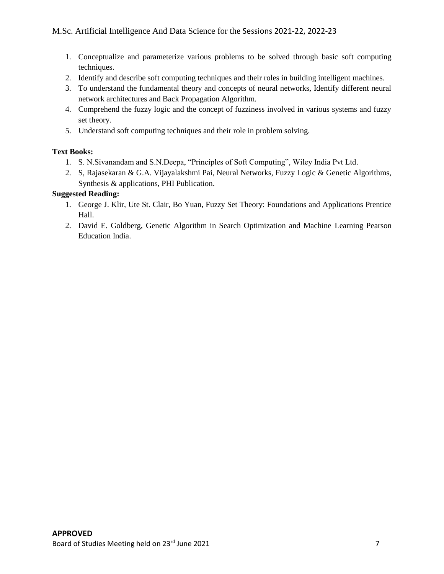- 1. Conceptualize and parameterize various problems to be solved through basic soft computing techniques.
- 2. Identify and describe soft computing techniques and their roles in building intelligent machines.
- 3. To understand the fundamental theory and concepts of neural networks, Identify different neural network architectures and Back Propagation Algorithm.
- 4. Comprehend the fuzzy logic and the concept of fuzziness involved in various systems and fuzzy set theory.
- 5. Understand soft computing techniques and their role in problem solving.

#### **Text Books:**

- 1. S. N.Sivanandam and S.N.Deepa, "Principles of Soft Computing", Wiley India Pvt Ltd.
- 2. S, Rajasekaran & G.A. Vijayalakshmi Pai, Neural Networks, Fuzzy Logic & Genetic Algorithms, Synthesis & applications, PHI Publication.

#### **Suggested Reading:**

- 1. George J. Klir, Ute St. Clair, Bo Yuan, Fuzzy Set Theory: Foundations and Applications Prentice Hall.
- 2. David E. Goldberg, Genetic Algorithm in Search Optimization and Machine Learning Pearson Education India.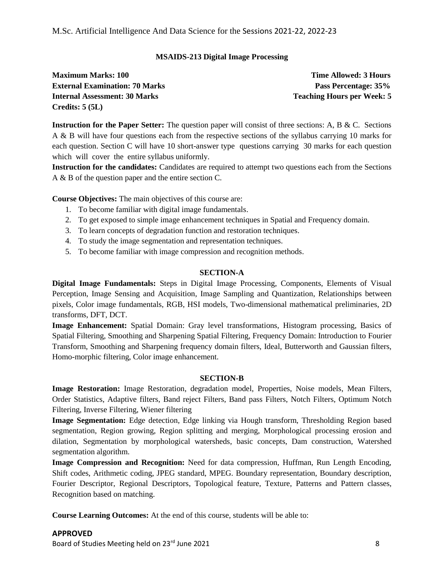#### **MSAIDS-213 Digital Image Processing**

| <b>Maximum Marks: 100</b>             | <b>Time Allowed: 3 Hours</b>      |
|---------------------------------------|-----------------------------------|
| <b>External Examination: 70 Marks</b> | Pass Percentage: 35%              |
| <b>Internal Assessment: 30 Marks</b>  | <b>Teaching Hours per Week: 5</b> |
| Credits: $5(5L)$                      |                                   |

**Instruction for the Paper Setter:** The question paper will consist of three sections: A, B & C. Sections A & B will have four questions each from the respective sections of the syllabus carrying 10 marks for each question. Section C will have 10 short-answer type questions carrying 30 marks for each question which will cover the entire syllabus uniformly.

**Instruction for the candidates:** Candidates are required to attempt two questions each from the Sections A & B of the question paper and the entire section C.

**Course Objectives:** The main objectives of this course are:

- 1. To become familiar with digital image fundamentals.
- 2. To get exposed to simple image enhancement techniques in Spatial and Frequency domain.
- 3. To learn concepts of degradation function and restoration techniques.
- 4. To study the image segmentation and representation techniques.
- 5. To become familiar with image compression and recognition methods.

#### **SECTION-A**

**Digital Image Fundamentals:** Steps in Digital Image Processing, Components, Elements of Visual Perception, Image Sensing and Acquisition, Image Sampling and Quantization, Relationships between pixels, Color image fundamentals, RGB, HSI models, Two-dimensional mathematical preliminaries, 2D transforms, DFT, DCT.

**Image Enhancement:** Spatial Domain: Gray level transformations, Histogram processing, Basics of Spatial Filtering, Smoothing and Sharpening Spatial Filtering, Frequency Domain: Introduction to Fourier Transform, Smoothing and Sharpening frequency domain filters, Ideal, Butterworth and Gaussian filters, Homo-morphic filtering, Color image enhancement.

#### **SECTION-B**

**Image Restoration:** Image Restoration, degradation model, Properties, Noise models, Mean Filters, Order Statistics, Adaptive filters, Band reject Filters, Band pass Filters, Notch Filters, Optimum Notch Filtering, Inverse Filtering, Wiener filtering

**Image Segmentation:** Edge detection, Edge linking via Hough transform, Thresholding Region based segmentation, Region growing, Region splitting and merging, Morphological processing erosion and dilation, Segmentation by morphological watersheds, basic concepts, Dam construction, Watershed segmentation algorithm.

**Image Compression and Recognition:** Need for data compression, Huffman, Run Length Encoding, Shift codes, Arithmetic coding, JPEG standard, MPEG. Boundary representation, Boundary description, Fourier Descriptor, Regional Descriptors, Topological feature, Texture, Patterns and Pattern classes, Recognition based on matching.

**Course Learning Outcomes:** At the end of this course, students will be able to: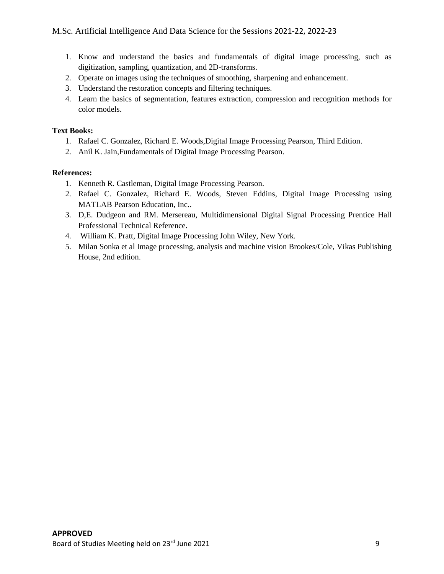- 1. Know and understand the basics and fundamentals of digital image processing, such as digitization, sampling, quantization, and 2D-transforms.
- 2. Operate on images using the techniques of smoothing, sharpening and enhancement.
- 3. Understand the restoration concepts and filtering techniques.
- 4. Learn the basics of segmentation, features extraction, compression and recognition methods for color models.

#### **Text Books:**

- 1. Rafael C. Gonzalez, Richard E. Woods,Digital Image Processing Pearson, Third Edition.
- 2. Anil K. Jain,Fundamentals of Digital Image Processing Pearson.

#### **References:**

- 1. Kenneth R. Castleman, Digital Image Processing Pearson.
- 2. Rafael C. Gonzalez, Richard E. Woods, Steven Eddins, Digital Image Processing using MATLAB Pearson Education, Inc..
- 3. D,E. Dudgeon and RM. Mersereau, Multidimensional Digital Signal Processing Prentice Hall Professional Technical Reference.
- 4. William K. Pratt, Digital Image Processing John Wiley, New York.
- 5. Milan Sonka et al Image processing, analysis and machine vision Brookes/Cole, Vikas Publishing House, 2nd edition.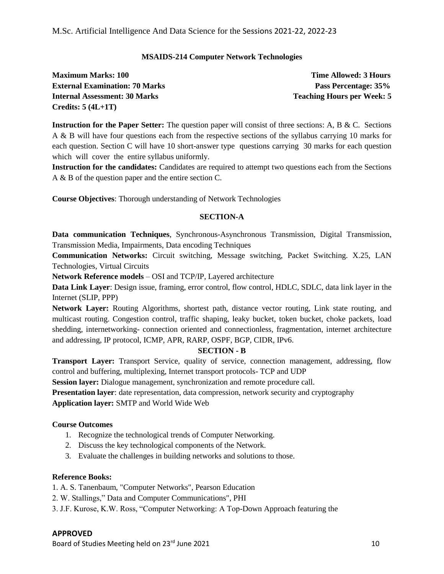#### **MSAIDS-214 Computer Network Technologies**

| <b>Maximum Marks: 100</b>             | <b>Time Allowed: 3 Hours</b>      |
|---------------------------------------|-----------------------------------|
| <b>External Examination: 70 Marks</b> | Pass Percentage: 35%              |
| Internal Assessment: 30 Marks         | <b>Teaching Hours per Week: 5</b> |
| Credits: $5(4L+1T)$                   |                                   |

**Instruction for the Paper Setter:** The question paper will consist of three sections: A, B & C. Sections A & B will have four questions each from the respective sections of the syllabus carrying 10 marks for each question. Section C will have 10 short-answer type questions carrying 30 marks for each question which will cover the entire syllabus uniformly.

**Instruction for the candidates:** Candidates are required to attempt two questions each from the Sections A & B of the question paper and the entire section C.

**Course Objectives**: Thorough understanding of Network Technologies

#### **SECTION-A**

**Data communication Techniques**, Synchronous-Asynchronous Transmission, Digital Transmission, Transmission Media, Impairments, Data encoding Techniques

**Communication Networks:** Circuit switching, Message switching, Packet Switching. X.25, LAN Technologies, Virtual Circuits

**Network Reference models** – OSI and TCP/IP, Layered architecture

**Data Link Layer**: Design issue, framing, error control, flow control, HDLC, SDLC, data link layer in the Internet (SLIP, PPP)

**Network Layer:** Routing Algorithms, shortest path, distance vector routing, Link state routing, and multicast routing. Congestion control, traffic shaping, leaky bucket, token bucket, choke packets, load shedding, internetworking- connection oriented and connectionless, fragmentation, internet architecture and addressing, IP protocol, ICMP, APR, RARP, OSPF, BGP, CIDR, IPv6.

#### **SECTION - B**

**Transport Layer:** Transport Service, quality of service, connection management, addressing, flow control and buffering, multiplexing, Internet transport protocols- TCP and UDP

**Session layer:** Dialogue management, synchronization and remote procedure call.

**Presentation layer:** date representation, data compression, network security and cryptography

**Application layer:** SMTP and World Wide Web

#### **Course Outcomes**

- 1. Recognize the technological trends of Computer Networking.
- 2. Discuss the key technological components of the Network.
- 3. Evaluate the challenges in building networks and solutions to those.

#### **Reference Books:**

1. A. S. Tanenbaum, "Computer Networks", Pearson Education

- 2. W. Stallings," Data and Computer Communications", PHI
- 3. J.F. Kurose, K.W. Ross, "Computer Networking: A Top-Down Approach featuring the

#### **APPROVED**

Board of Studies Meeting held on 23<sup>rd</sup> June 2021 10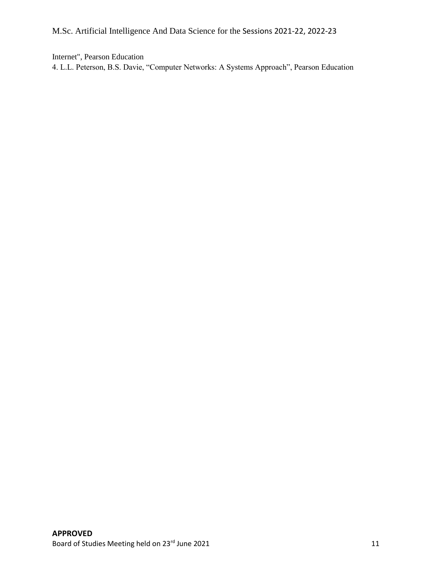Internet", Pearson Education

4. L.L. Peterson, B.S. Davie, "Computer Networks: A Systems Approach", Pearson Education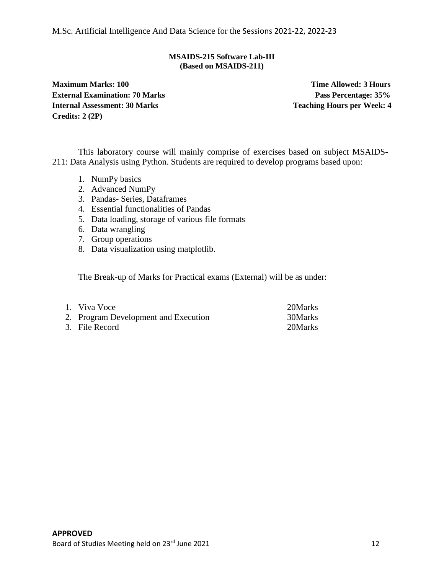#### **MSAIDS-215 Software Lab-III (Based on MSAIDS-211)**

**Maximum Marks: 100** Time Allowed: 3 Hours **External Examination: 70 Marks Pass Percentage: 35% Internal Assessment: 30 Marks Teaching Hours per Week: 4 Credits: 2 (2P)**

This laboratory course will mainly comprise of exercises based on subject MSAIDS-211: Data Analysis using Python. Students are required to develop programs based upon:

- 1. NumPy basics
- 2. Advanced NumPy
- 3. Pandas- Series, Dataframes
- 4. Essential functionalities of Pandas
- 5. Data loading, storage of various file formats
- 6. Data wrangling
- 7. Group operations
- 8. Data visualization using matplotlib.

The Break-up of Marks for Practical exams (External) will be as under:

| 1. Viva Voce                         | 20 Marks |
|--------------------------------------|----------|
| 2. Program Development and Execution | 30Marks  |
| 3. File Record                       | 20Marks  |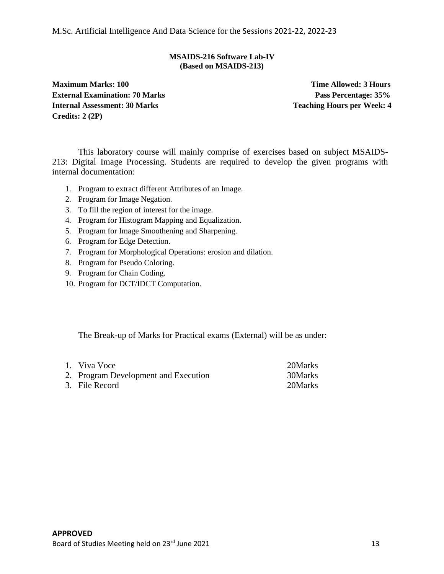#### **MSAIDS-216 Software Lab-IV (Based on MSAIDS-213)**

**Maximum Marks: 100 Time Allowed: 3 Hours External Examination: 70 Marks Pass Percentage: 35% Internal Assessment: 30 Marks Teaching Hourse Property Reserve Teaching Hours per Week: 4 Credits: 2 (2P)**

This laboratory course will mainly comprise of exercises based on subject MSAIDS-213: Digital Image Processing. Students are required to develop the given programs with internal documentation:

- 1. Program to extract different Attributes of an Image.
- 2. Program for Image Negation.
- 3. To fill the region of interest for the image.
- 4. Program for Histogram Mapping and Equalization.
- 5. Program for Image Smoothening and Sharpening.
- 6. Program for Edge Detection.
- 7. Program for Morphological Operations: erosion and dilation.
- 8. Program for Pseudo Coloring.
- 9. Program for Chain Coding.
- 10. Program for DCT/IDCT Computation.

The Break-up of Marks for Practical exams (External) will be as under:

| 1. Viva Voce                         | 20Marks |
|--------------------------------------|---------|
| 2. Program Development and Execution | 30Marks |
| 3. File Record                       | 20Marks |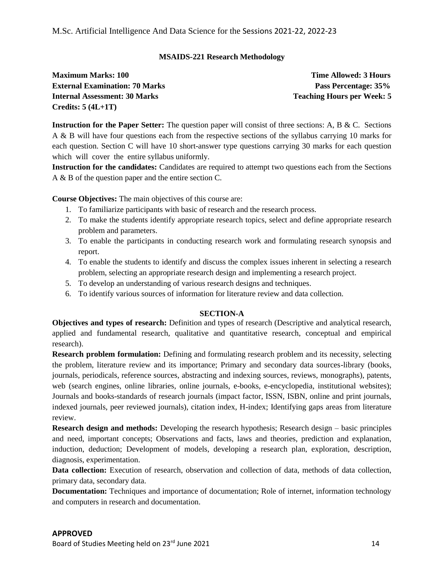#### **MSAIDS-221 Research Methodology**

**Maximum Marks: 100** Time Allowed: 3 Hours **External Examination: 70 Marks Pass Percentage: 35% Internal Assessment: 30 Marks Teaching Hourse Property Reaching Hourse Property 10 Marks Teaching Hours per Week: 5 Credits: 5 (4L+1T)**

**Instruction for the Paper Setter:** The question paper will consist of three sections: A, B & C. Sections A & B will have four questions each from the respective sections of the syllabus carrying 10 marks for each question. Section C will have 10 short-answer type questions carrying 30 marks for each question which will cover the entire syllabus uniformly.

**Instruction for the candidates:** Candidates are required to attempt two questions each from the Sections A & B of the question paper and the entire section C.

**Course Objectives:** The main objectives of this course are:

- 1. To familiarize participants with basic of research and the research process.
- 2. To make the students identify appropriate research topics, select and define appropriate research problem and parameters.
- 3. To enable the participants in conducting research work and formulating research synopsis and report.
- 4. To enable the students to identify and discuss the complex issues inherent in selecting a research problem, selecting an appropriate research design and implementing a research project.
- 5. To develop an understanding of various research designs and techniques.
- 6. To identify various sources of information for literature review and data collection.

#### **SECTION-A**

**Objectives and types of research:** Definition and types of research (Descriptive and analytical research, applied and fundamental research, qualitative and quantitative research, conceptual and empirical research).

**Research problem formulation:** Defining and formulating research problem and its necessity, selecting the problem, literature review and its importance; Primary and secondary data sources-library (books, journals, periodicals, reference sources, abstracting and indexing sources, reviews, monographs), patents, web (search engines, online libraries, online journals, e-books, e-encyclopedia, institutional websites); Journals and books-standards of research journals (impact factor, ISSN, ISBN, online and print journals, indexed journals, peer reviewed journals), citation index, H-index; Identifying gaps areas from literature review.

**Research design and methods:** Developing the research hypothesis; Research design – basic principles and need, important concepts; Observations and facts, laws and theories, prediction and explanation, induction, deduction; Development of models, developing a research plan, exploration, description, diagnosis, experimentation.

**Data collection:** Execution of research, observation and collection of data, methods of data collection, primary data, secondary data.

**Documentation:** Techniques and importance of documentation; Role of internet, information technology and computers in research and documentation.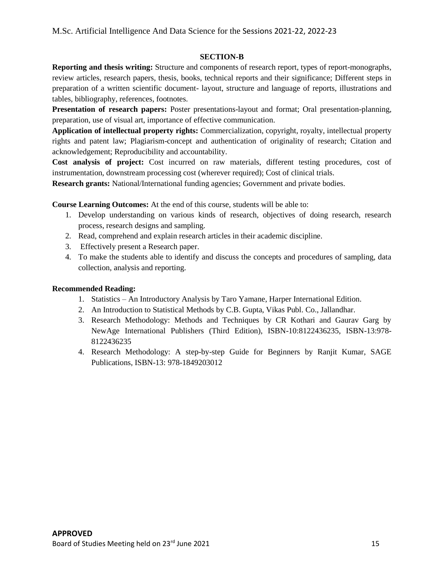#### **SECTION-B**

**Reporting and thesis writing:** Structure and components of research report, types of report-monographs, review articles, research papers, thesis, books, technical reports and their significance; Different steps in preparation of a written scientific document- layout, structure and language of reports, illustrations and tables, bibliography, references, footnotes.

**Presentation of research papers:** Poster presentations-layout and format; Oral presentation-planning, preparation, use of visual art, importance of effective communication.

**Application of intellectual property rights:** Commercialization, copyright, royalty, intellectual property rights and patent law; Plagiarism-concept and authentication of originality of research; Citation and acknowledgement; Reproducibility and accountability.

**Cost analysis of project:** Cost incurred on raw materials, different testing procedures, cost of instrumentation, downstream processing cost (wherever required); Cost of clinical trials.

**Research grants:** National/International funding agencies; Government and private bodies.

**Course Learning Outcomes:** At the end of this course, students will be able to:

- 1. Develop understanding on various kinds of research, objectives of doing research, research process, research designs and sampling.
- 2. Read, comprehend and explain research articles in their academic discipline.
- 3. Effectively present a Research paper.
- 4. To make the students able to identify and discuss the concepts and procedures of sampling, data collection, analysis and reporting.

#### **Recommended Reading:**

- 1. Statistics An Introductory Analysis by Taro Yamane, Harper International Edition.
- 2. An Introduction to Statistical Methods by C.B. Gupta, Vikas Publ. Co., Jallandhar.
- 3. Research Methodology: Methods and Techniques by CR Kothari and Gaurav Garg by NewAge International Publishers (Third Edition), ISBN-10:8122436235, ISBN-13:978- 8122436235
- 4. Research Methodology: A step-by-step Guide for Beginners by Ranjit Kumar, SAGE Publications, ISBN-13: 978-1849203012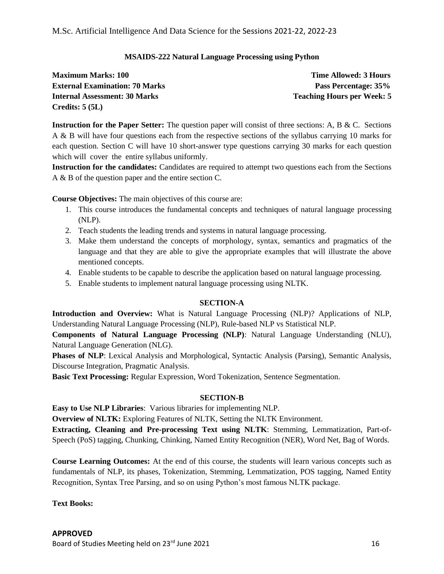#### **MSAIDS-222 Natural Language Processing using Python**

| <b>Maximum Marks: 100</b>             | <b>Time Allowed: 3 Hours</b>      |
|---------------------------------------|-----------------------------------|
| <b>External Examination: 70 Marks</b> | Pass Percentage: 35%              |
| Internal Assessment: 30 Marks         | <b>Teaching Hours per Week: 5</b> |
| Credits: $5(5L)$                      |                                   |

**Instruction for the Paper Setter:** The question paper will consist of three sections: A, B & C. Sections A & B will have four questions each from the respective sections of the syllabus carrying 10 marks for each question. Section C will have 10 short-answer type questions carrying 30 marks for each question which will cover the entire syllabus uniformly.

**Instruction for the candidates:** Candidates are required to attempt two questions each from the Sections A & B of the question paper and the entire section C.

**Course Objectives:** The main objectives of this course are:

- 1. This course introduces the fundamental concepts and techniques of natural language processing (NLP).
- 2. Teach students the leading trends and systems in natural language processing.
- 3. Make them understand the concepts of morphology, syntax, semantics and pragmatics of the language and that they are able to give the appropriate examples that will illustrate the above mentioned concepts.
- 4. Enable students to be capable to describe the application based on natural language processing.
- 5. Enable students to implement natural language processing using NLTK.

#### **SECTION-A**

**Introduction and Overview:** What is Natural Language Processing (NLP)? Applications of NLP, Understanding Natural Language Processing (NLP), Rule-based NLP vs Statistical NLP.

**Components of Natural Language Processing (NLP)**: Natural Language Understanding (NLU), Natural Language Generation (NLG).

**Phases of NLP**: Lexical Analysis and Morphological, Syntactic Analysis (Parsing), Semantic Analysis, Discourse Integration, Pragmatic Analysis.

**Basic Text Processing:** Regular Expression, Word Tokenization, Sentence Segmentation.

#### **SECTION-B**

**Easy to Use NLP Libraries**: Various libraries for implementing NLP.

**Overview of NLTK:** Exploring Features of NLTK, Setting the NLTK Environment.

**Extracting, Cleaning and Pre-processing Text using NLTK**: Stemming, Lemmatization, Part-of-Speech (PoS) tagging, Chunking, Chinking, Named Entity Recognition (NER), Word Net, Bag of Words.

**Course Learning Outcomes:** At the end of this course, the students will learn various concepts such as fundamentals of NLP, its phases, Tokenization, Stemming, Lemmatization, POS tagging, Named Entity Recognition, Syntax Tree Parsing, and so on using Python's most famous NLTK package.

**Text Books:**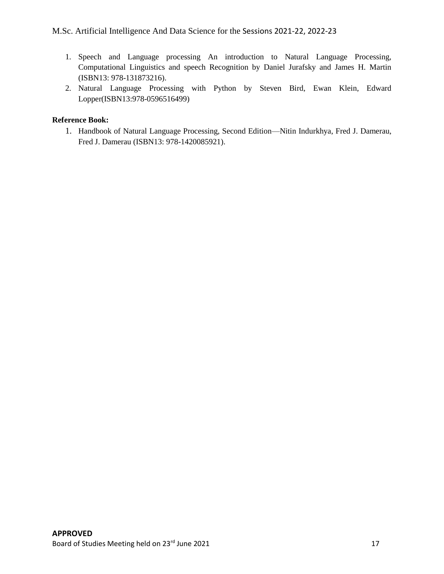- 1. Speech and Language processing An introduction to Natural Language Processing, Computational Linguistics and speech Recognition by Daniel Jurafsky and James H. Martin (ISBN13: 978-131873216).
- 2. Natural Language Processing with Python by Steven Bird, Ewan Klein, Edward Lopper(ISBN13:978-0596516499)

#### **Reference Book:**

1. Handbook of Natural Language Processing, Second Edition—Nitin Indurkhya, Fred J. Damerau, Fred J. Damerau (ISBN13: 978-1420085921).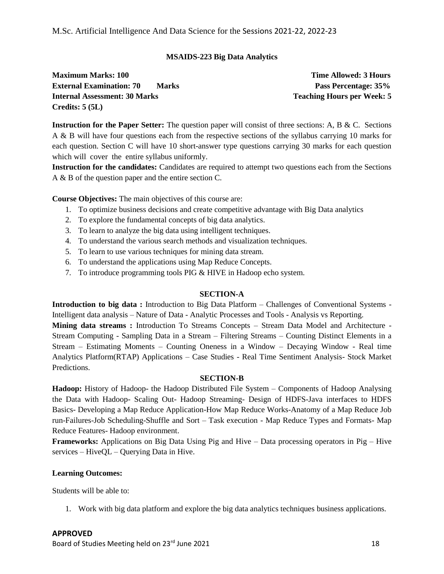#### **MSAIDS-223 Big Data Analytics**

**Maximum Marks: 100** Time Allowed: 3 Hours **External Examination: 70 Marks Pass Percentage: 35% Internal Assessment: 30 Marks Teaching Hourse Property Reaching Hourse Property 10 Marks Teaching Hours per Week: 5 Credits: 5 (5L)**

**Instruction for the Paper Setter:** The question paper will consist of three sections: A, B & C. Sections A & B will have four questions each from the respective sections of the syllabus carrying 10 marks for each question. Section C will have 10 short-answer type questions carrying 30 marks for each question which will cover the entire syllabus uniformly.

**Instruction for the candidates:** Candidates are required to attempt two questions each from the Sections A & B of the question paper and the entire section C.

**Course Objectives:** The main objectives of this course are:

- 1. To optimize business decisions and create competitive advantage with Big Data analytics
- 2. To explore the fundamental concepts of big data analytics.
- 3. To learn to analyze the big data using intelligent techniques.
- 4. To understand the various search methods and visualization techniques.
- 5. To learn to use various techniques for mining data stream.
- 6. To understand the applications using Map Reduce Concepts.
- 7. To introduce programming tools PIG & HIVE in Hadoop echo system.

#### **SECTION-A**

**Introduction to big data :** Introduction to Big Data Platform – Challenges of Conventional Systems - Intelligent data analysis – Nature of Data - Analytic Processes and Tools - Analysis vs Reporting. **Mining data streams :** Introduction To Streams Concepts – Stream Data Model and Architecture - Stream Computing - Sampling Data in a Stream – Filtering Streams – Counting Distinct Elements in a Stream – Estimating Moments – Counting Oneness in a Window – Decaying Window - Real time Analytics Platform(RTAP) Applications – Case Studies - Real Time Sentiment Analysis- Stock Market Predictions.

#### **SECTION-B**

**Hadoop:** History of Hadoop- the Hadoop Distributed File System – Components of Hadoop Analysing the Data with Hadoop- Scaling Out- Hadoop Streaming- Design of HDFS-Java interfaces to HDFS Basics- Developing a Map Reduce Application-How Map Reduce Works-Anatomy of a Map Reduce Job run-Failures-Job Scheduling-Shuffle and Sort – Task execution - Map Reduce Types and Formats- Map Reduce Features- Hadoop environment.

**Frameworks:** Applications on Big Data Using Pig and Hive – Data processing operators in Pig – Hive services – HiveQL – Querying Data in Hive.

#### **Learning Outcomes:**

Students will be able to:

1. Work with big data platform and explore the big data analytics techniques business applications.

#### **APPROVED**

Board of Studies Meeting held on 23<sup>rd</sup> June 2021 18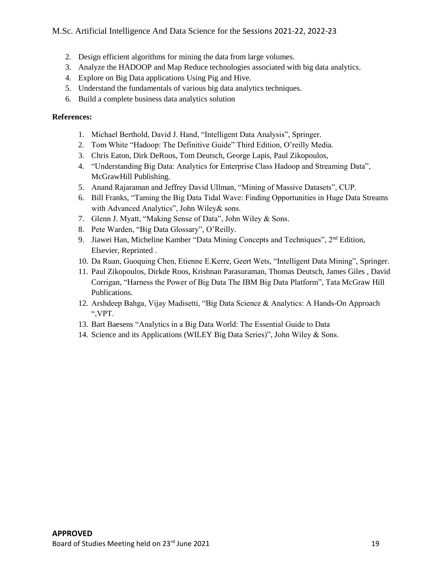- 2. Design efficient algorithms for mining the data from large volumes.
- 3. Analyze the HADOOP and Map Reduce technologies associated with big data analytics.
- 4. Explore on Big Data applications Using Pig and Hive.
- 5. Understand the fundamentals of various big data analytics techniques.
- 6. Build a complete business data analytics solution

#### **References:**

- 1. Michael Berthold, David J. Hand, "Intelligent Data Analysis", Springer.
- 2. Tom White "Hadoop: The Definitive Guide" Third Edition, O'reilly Media.
- 3. Chris Eaton, Dirk DeRoos, Tom Deutsch, George Lapis, Paul Zikopoulos,
- 4. "Understanding Big Data: Analytics for Enterprise Class Hadoop and Streaming Data", McGrawHill Publishing.
- 5. Anand Rajaraman and Jeffrey David Ullman, "Mining of Massive Datasets", CUP.
- 6. Bill Franks, "Taming the Big Data Tidal Wave: Finding Opportunities in Huge Data Streams with Advanced Analytics", John Wiley& sons.
- 7. Glenn J. Myatt, "Making Sense of Data", John Wiley & Sons.
- 8. Pete Warden, "Big Data Glossary", O'Reilly.
- 9. Jiawei Han, Micheline Kamber "Data Mining Concepts and Techniques", 2<sup>nd</sup> Edition, Elsevier, Reprinted .
- 10. Da Ruan, Guoquing Chen, Etienne E.Kerre, Geert Wets, "Intelligent Data Mining", Springer.
- 11. Paul Zikopoulos, Dirkde Roos, Krishnan Parasuraman, Thomas Deutsch, James Giles , David Corrigan, "Harness the Power of Big Data The IBM Big Data Platform", Tata McGraw Hill Publications.
- 12. Arshdeep Bahga, Vijay Madisetti, "Big Data Science & Analytics: A Hands-On Approach ",VPT.
- 13. Bart Baesens "Analytics in a Big Data World: The Essential Guide to Data
- 14. Science and its Applications (WILEY Big Data Series)", John Wiley & Sons.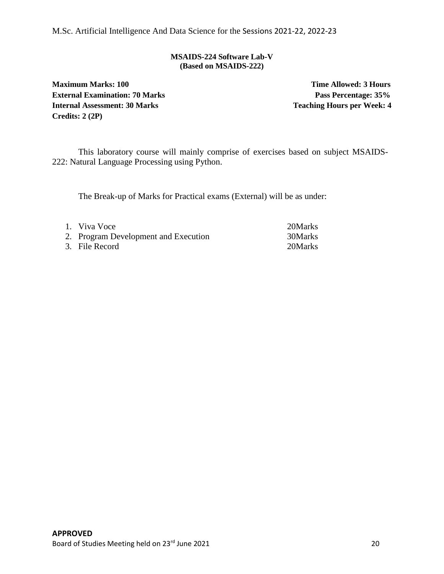#### **MSAIDS-224 Software Lab-V (Based on MSAIDS-222)**

**Maximum Marks: 100** Time Allowed: 3 Hours **External Examination: 70 Marks Pass Percentage: 35% Internal Assessment: 30 Marks Teaching Hours per Week: 4 Credits: 2 (2P)**

This laboratory course will mainly comprise of exercises based on subject MSAIDS-222: Natural Language Processing using Python.

The Break-up of Marks for Practical exams (External) will be as under:

| 1. Viva Voce                         | 20Marks |
|--------------------------------------|---------|
| 2. Program Development and Execution | 30Marks |
| 3. File Record                       | 20Marks |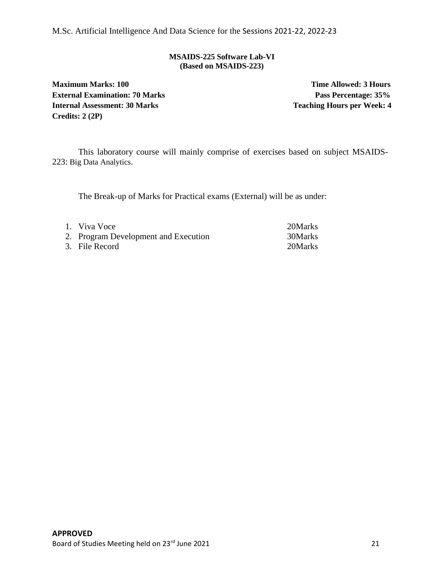#### **MSAIDS-225 Software Lab-VI (Based on MSAIDS-223)**

**Maximum Marks: 100** Time Allowed: 3 Hours **External Examination: 70 Marks Pass Percentage: 35% Internal Assessment: 30 Marks Teaching Hours per Week: 4 Credits: 2 (2P)**

This laboratory course will mainly comprise of exercises based on subject MSAIDS-223: Big Data Analytics.

The Break-up of Marks for Practical exams (External) will be as under:

| 1. Viva Voce                         | 20Marks |
|--------------------------------------|---------|
| 2. Program Development and Execution | 30Marks |
| 3. File Record                       | 20Marks |